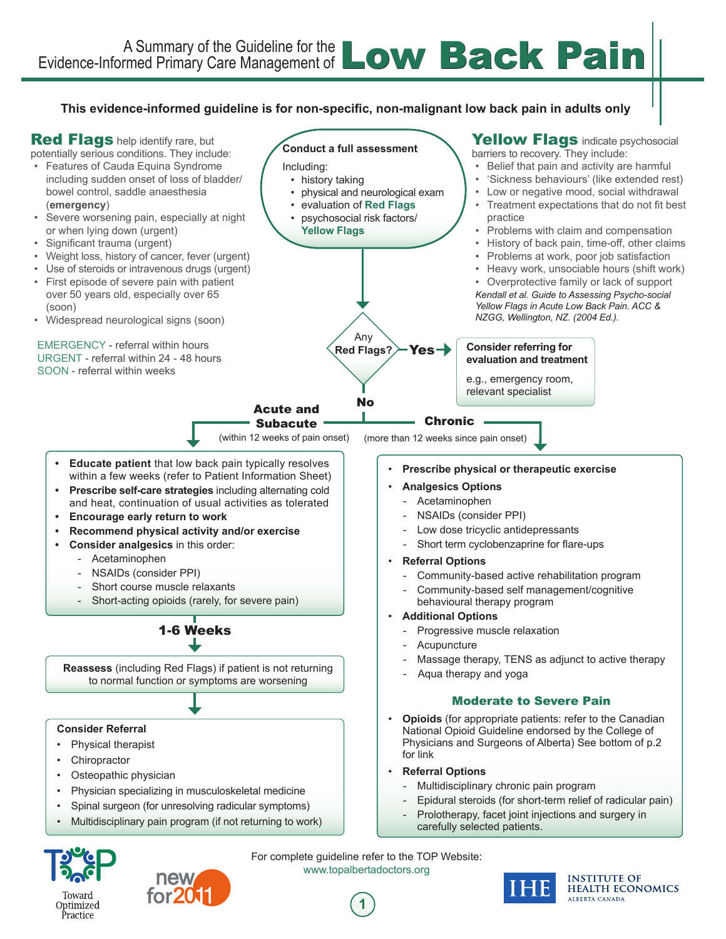## **This evidence-informed guideline is for non-specific, non-malignant low back pain in adults only**



Optimized Practice

**1**



**INSTITUTE OF HEALTH ECONOMICS** ALBERTA CANADA